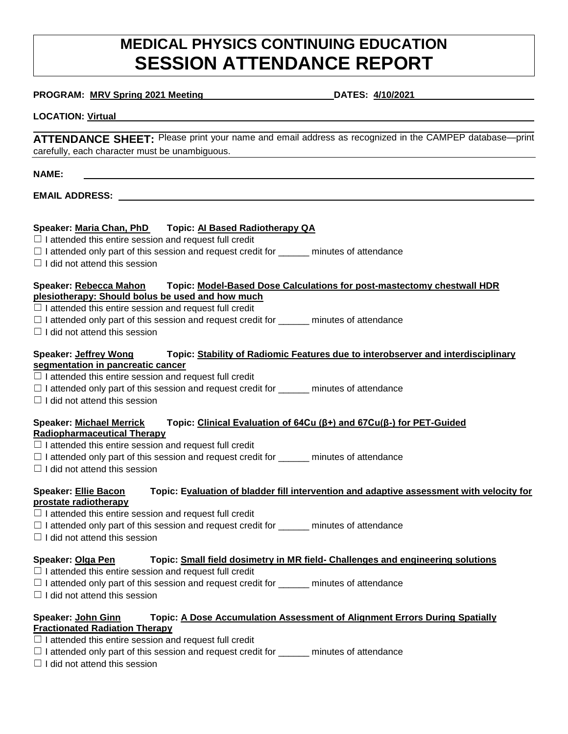# **MEDICAL PHYSICS CONTINUING EDUCATION SESSION ATTENDANCE REPORT**

#### **PROGRAM: MRV Spring 2021 Meeting DATES: 4/10/2021**

#### **LOCATION: Virtual**

**ATTENDANCE SHEET:** Please print your name and email address as recognized in the CAMPEP database—print carefully, each character must be unambiguous.

#### **NAME:**

**EMAIL ADDRESS:** 

# **Speaker: Maria Chan, PhD Topic: AI Based Radiotherapy QA**

 $\Box$  I attended this entire session and request full credit

- □ I attended only part of this session and request credit for \_\_\_\_\_\_ minutes of attendance
- $\Box$  I did not attend this session

#### **Speaker: Rebecca Mahon Topic: Model-Based Dose Calculations for post-mastectomy chestwall HDR plesiotherapy: Should bolus be used and how much**

 $\Box$  I attended this entire session and request full credit

 $\Box$  I attended only part of this session and request credit for  $\Box$  minutes of attendance

 $\Box$  I did not attend this session

#### **Speaker: Jeffrey Wong Topic: Stability of Radiomic Features due to interobserver and interdisciplinary segmentation in pancreatic cancer**

 $\Box$  I attended this entire session and request full credit

- □ I attended only part of this session and request credit for \_\_\_\_\_\_ minutes of attendance
- $\Box$  I did not attend this session

#### **Speaker: Michael Merrick Topic: Clinical Evaluation of 64Cu (β+) and 67Cu(β-) for PET-Guided Radiopharmaceutical Therapy**

- $\Box$  I attended this entire session and request full credit
- $\Box$  I attended only part of this session and request credit for  $\Box$  minutes of attendance
- $\Box$  I did not attend this session

# **Speaker: Ellie Bacon Topic: Evaluation of bladder fill intervention and adaptive assessment with velocity for prostate radiotherapy**

- $\Box$  I attended this entire session and request full credit
- □ I attended only part of this session and request credit for \_\_\_\_\_\_ minutes of attendance
- $\Box$  I did not attend this session

# **Speaker: Olga Pen Topic: Small field dosimetry in MR field- Challenges and engineering solutions**

- $\Box$  I attended this entire session and request full credit
- $\Box$  I attended only part of this session and request credit for  $\Box$  minutes of attendance
- $\Box$  I did not attend this session

#### **Speaker: John Ginn Topic: A Dose Accumulation Assessment of Alignment Errors During Spatially Fractionated Radiation Therapy**

- $\Box$  I attended this entire session and request full credit
- $\Box$  I attended only part of this session and request credit for \_\_\_\_\_\_\_ minutes of attendance
- $\Box$  I did not attend this session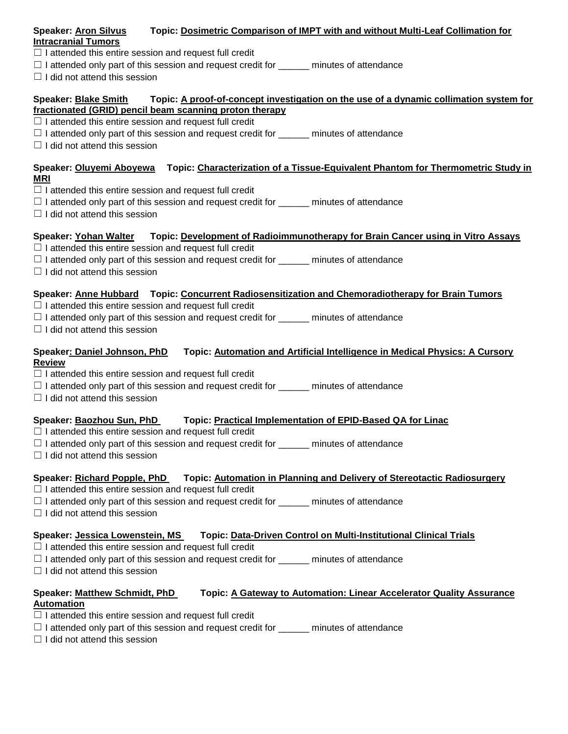#### **Speaker: Aron Silvus Topic: Dosimetric Comparison of IMPT with and without Multi-Leaf Collimation for Intracranial Tumors**

- $\Box$  I attended this entire session and request full credit
- $\Box$  I attended only part of this session and request credit for \_\_\_\_\_\_\_ minutes of attendance
- $\Box$  I did not attend this session

# **Speaker: Blake Smith Topic: A proof-of-concept investigation on the use of a dynamic collimation system for fractionated (GRID) pencil beam scanning proton therapy**

- $\Box$  I attended this entire session and request full credit
- $\Box$  I attended only part of this session and request credit for  $\Box$  minutes of attendance
- $\Box$  I did not attend this session

# **Speaker: Oluyemi Aboyewa Topic: Characterization of a Tissue-Equivalent Phantom for Thermometric Study in MRI**

- $\Box$  I attended this entire session and request full credit
- $\Box$  I attended only part of this session and request credit for \_\_\_\_\_\_\_ minutes of attendance
- $\Box$  I did not attend this session

# **Speaker: Yohan Walter Topic: Development of Radioimmunotherapy for Brain Cancer using in Vitro Assays**

- $\Box$  I attended this entire session and request full credit
- $\Box$  I attended only part of this session and request credit for \_\_\_\_\_\_ minutes of attendance
- $\Box$  I did not attend this session

# **Speaker: Anne Hubbard Topic: Concurrent Radiosensitization and Chemoradiotherapy for Brain Tumors**

- $\Box$  I attended this entire session and request full credit
- $\Box$  I attended only part of this session and request credit for \_\_\_\_\_\_\_ minutes of attendance
- $\Box$  I did not attend this session

### **Speaker: Daniel Johnson, PhD Topic: Automation and Artificial Intelligence in Medical Physics: A Cursory Review**

- $\Box$  I attended this entire session and request full credit
- $\Box$  I attended only part of this session and request credit for  $\_\_\_\_\_\_$  minutes of attendance
- $\Box$  I did not attend this session

# **Speaker: Baozhou Sun, PhD Topic: Practical Implementation of EPID-Based QA for Linac**

- $\Box$  I attended this entire session and request full credit
- $\Box$  I attended only part of this session and request credit for \_\_\_\_\_\_ minutes of attendance
- $\Box$  I did not attend this session

# **Speaker: Richard Popple, PhD Topic: Automation in Planning and Delivery of Stereotactic Radiosurgery**

- $\Box$  I attended this entire session and request full credit
- $\Box$  I attended only part of this session and request credit for  $\Box$  minutes of attendance
- $\Box$  I did not attend this session

# **Speaker: Jessica Lowenstein, MS Topic: Data-Driven Control on Multi-Institutional Clinical Trials**

- $\Box$  I attended this entire session and request full credit
- $\Box$  I attended only part of this session and request credit for \_\_\_\_\_\_ minutes of attendance
- $\Box$  I did not attend this session

# **Speaker: Matthew Schmidt, PhD Topic: A Gateway to Automation: Linear Accelerator Quality Assurance Automation**

- $\Box$  I attended this entire session and request full credit
- $\Box$  I attended only part of this session and request credit for \_\_\_\_\_\_ minutes of attendance
- $\Box$  I did not attend this session